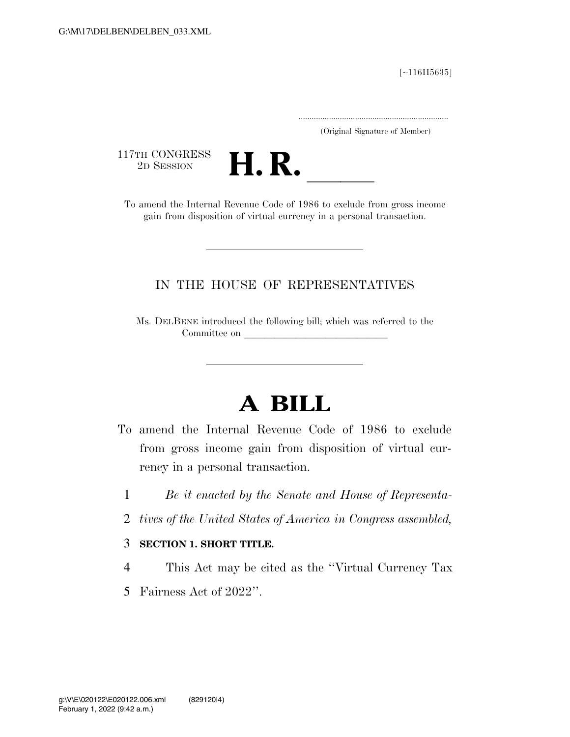[∼116H5635]

.....................................................................

(Original Signature of Member)

117TH CONGRESS<br>2D SESSION



17TH CONGRESS<br>
2D SESSION<br>
To amend the Internal Revenue Code of 1986 to exclude from gross income gain from disposition of virtual currency in a personal transaction.

## IN THE HOUSE OF REPRESENTATIVES

Ms. DELBENE introduced the following bill; which was referred to the Committee on

## **A BILL**

- To amend the Internal Revenue Code of 1986 to exclude from gross income gain from disposition of virtual currency in a personal transaction.
	- 1 *Be it enacted by the Senate and House of Representa-*
	- 2 *tives of the United States of America in Congress assembled,*

## 3 **SECTION 1. SHORT TITLE.**

- 4 This Act may be cited as the ''Virtual Currency Tax
- 5 Fairness Act of 2022''.